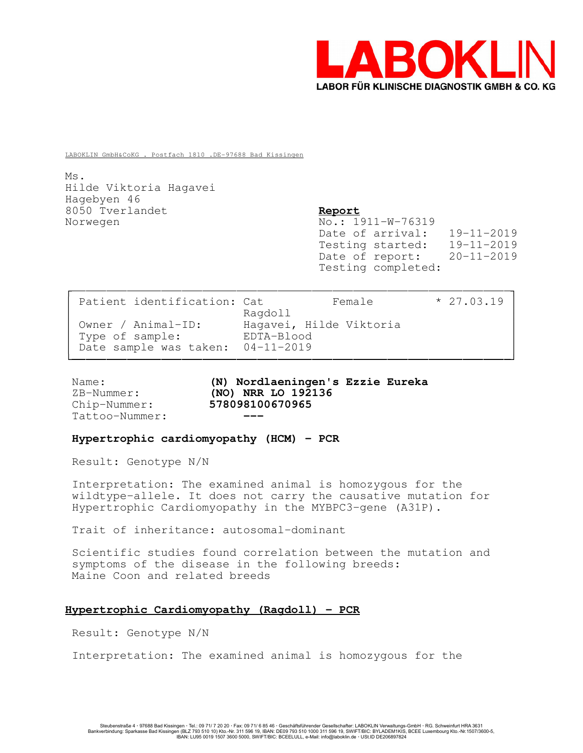

LABOKLIN GmbH&CoKG . Postfach 1810 .DE-97688 Bad Kissingen

Ms. Hilde Viktoria Hagavei Hagebyen 46 8050 Tverlandet Report Norwegen No.: 1911-W-76319

Date of arrival: 19-11-2019 Testing started: 19-11-2019 Date of report: 20-11-2019 Testing completed:

| Patient identification: Cat       | Female                             | $* 27.03.19$ |  |
|-----------------------------------|------------------------------------|--------------|--|
| Owner / Animal-ID:                | Ragdoll<br>Haqavei, Hilde Viktoria |              |  |
| Type of sample:                   | EDTA-Blood                         |              |  |
| Date sample was taken: 04-11-2019 |                                    |              |  |

Tattoo-Nummer:

Name: (N) Nordlaeningen's Ezzie Eureka ZB-Nummer: (NO) NRR LO 192136 Chip-Nummer: 578098100670965

### Hypertrophic cardiomyopathy (HCM) - PCR

Result: Genotype N/N

Interpretation: The examined animal is homozygous for the wildtype-allele. It does not carry the causative mutation for Hypertrophic Cardiomyopathy in the MYBPC3-gene (A31P).

Trait of inheritance: autosomal-dominant

Scientific studies found correlation between the mutation and symptoms of the disease in the following breeds: Maine Coon and related breeds

## Hypertrophic Cardiomyopathy (Ragdoll) - PCR

Result: Genotype N/N

Interpretation: The examined animal is homozygous for the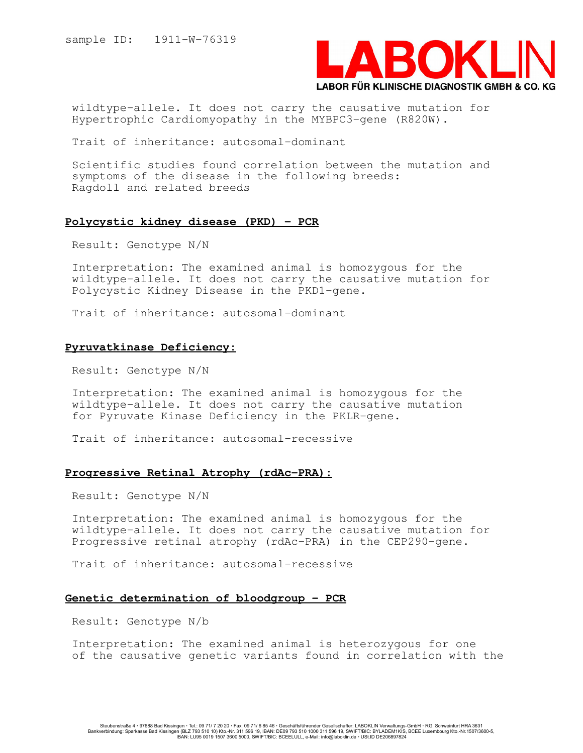

wildtype-allele. It does not carry the causative mutation for Hypertrophic Cardiomyopathy in the MYBPC3-gene (R820W).

Trait of inheritance: autosomal-dominant

Scientific studies found correlation between the mutation and symptoms of the disease in the following breeds: Ragdoll and related breeds

### Polycystic kidney disease (PKD) - PCR

Result: Genotype N/N

Interpretation: The examined animal is homozygous for the wildtype-allele. It does not carry the causative mutation for Polycystic Kidney Disease in the PKD1-gene.

Trait of inheritance: autosomal-dominant

# Pyruvatkinase Deficiency:

Result: Genotype N/N

Interpretation: The examined animal is homozygous for the wildtype-allele. It does not carry the causative mutation for Pyruvate Kinase Deficiency in the PKLR-gene.

Trait of inheritance: autosomal-recessive

## Progressive Retinal Atrophy (rdAc-PRA):

Result: Genotype N/N

Interpretation: The examined animal is homozygous for the wildtype-allele. It does not carry the causative mutation for Progressive retinal atrophy (rdAc-PRA) in the CEP290-gene.

Trait of inheritance: autosomal-recessive

# Genetic determination of bloodgroup - PCR

Result: Genotype N/b

Interpretation: The examined animal is heterozygous for one of the causative genetic variants found in correlation with the